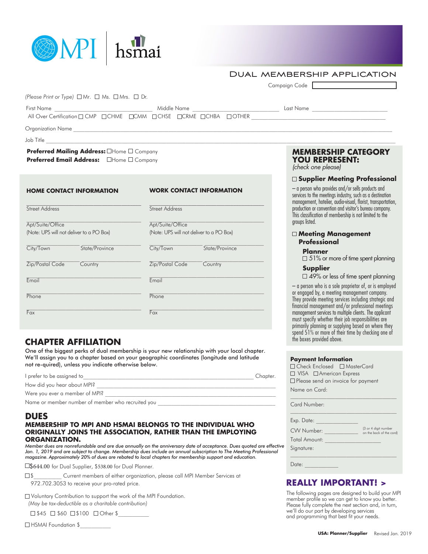| MPI   hsmai                                                                                   |                                            |                                                                           |                                                                                            |
|-----------------------------------------------------------------------------------------------|--------------------------------------------|---------------------------------------------------------------------------|--------------------------------------------------------------------------------------------|
|                                                                                               |                                            | <b>DUAL MEMBERSHIP APPLICATION</b><br>Campaign Code                       |                                                                                            |
| (Please Print or Type) $\Box$ Mr. $\Box$ Ms. $\Box$ Mrs. $\Box$ Dr.                           |                                            |                                                                           |                                                                                            |
|                                                                                               |                                            |                                                                           |                                                                                            |
|                                                                                               |                                            |                                                                           |                                                                                            |
|                                                                                               |                                            |                                                                           |                                                                                            |
| Preferred Mailing Address: OHome O Company<br>Preferred Email Address: <b>OHome D Company</b> |                                            | <b>MEMBERSHIP CATEGORY</b><br><b>YOU REPRESENT:</b><br>(check one please) |                                                                                            |
| <b>HOME CONTACT INFORMATION</b>                                                               | <b>EXAMPLE 20 WORK CONTACT INFORMATION</b> | - a person who provides and/or sells products and                         | □ Supplier Meeting Professional<br>convices to the meetings inductry quan as a destination |

\_\_\_\_\_\_\_\_\_\_\_\_\_\_\_\_\_\_\_\_\_\_\_\_\_\_\_\_\_\_\_\_\_\_\_\_\_\_\_\_\_ **Street Address** Apt/Suite/Office (Note: UPS will not deliver to a PO Box) City/Town State/Province Zip/Postal Code Country Email **Phone** Fax \_\_\_\_\_\_\_\_\_\_\_\_\_\_\_\_\_\_\_\_\_\_\_\_\_\_\_\_\_\_\_\_\_\_\_\_\_\_\_\_\_ **Street Address** Apt/Suite/Office (Note: UPS will not deliver to a PO Box) City/Town State/Province Zip/Postal Code Country Email Phone Fax

## **CHAPTER AFFILIATION**

One of the biggest perks of dual membership is your new relationship with your local chapter. We'll assign you to a chapter based on your geographic coordinates (longitude and latitude not re-quired), unless you indicate otherwise below.

| I prefer to be assigned to                        | Chapter. |
|---------------------------------------------------|----------|
| How did you hear about MPI?                       |          |
| Were you ever a member of MPI?                    |          |
| Name or member number of member who recruited you |          |

### **DUES**

### **MEMBERSHIP TO MPI AND HSMAI BELONGS TO THE INDIVIDUAL WHO ORIGINALLY JOINS THE ASSOCIATION, RATHER THAN THE EMPLOYING ORGANIZATION.**

*Member dues are nonrefundable and are due annually on the anniversary date of acceptance. Dues quoted are effective*  Jan. 1, 2019 and are subject to change. Membership dues include an annual subscription to The Meeting Professional *magazine. Approximately 20% of dues are rebated to local chapters for membership support and education.*

□\$644.00 for Dual Supplier, \$538.00 for Dual Planner.

 \$\_\_\_\_\_\_\_\_\_\_ Current members of either organization, please call MPI Member Services at 972.702.3053 to receive your pro-rated price.

Voluntary Contribution to support the work of the MPI Foundation. *(May be tax-deductible as a charitable contribution)*

 $\Box$  \$45  $\Box$  \$60  $\Box$  \$100  $\Box$  Other \$

□ HSMAI Foundation \$

# **ORY**

### **Supplier Meeting Professional**

 $t$ s and services to the meetings industry, such as a destination management, hotelier, audio-visual, florist, transportation, production or convention and visitor's bureau company. This classification of membership is not limited to the groups listed.

### **Meeting Management Professional**

### **Planner**

 $\Box$  51% or more of time spent planning

### **Supplier**

 $\square$  49% or less of time spent planning

– a person who is a sole proprietor of, or is employed or engaged by, a meeting management company. They provide meeting services including strategic and financial management and/or professional meetings management services to multiple clients. The applicant must specify whether their job responsibilities are primarily planning or supplying based on where they spend 51% or more of their time by checking one of the boxes provided above.

|  | <b>Payment Information</b> |
|--|----------------------------|
|--|----------------------------|

| □ Check Enclosed □ MasterCard             |  |  |  |  |
|-------------------------------------------|--|--|--|--|
| □ VISA □ American Express                 |  |  |  |  |
| $\Box$ Please send an invoice for payment |  |  |  |  |
| Name on Card:                             |  |  |  |  |

Card Number:

| Exp. Date:           |                                                  |
|----------------------|--------------------------------------------------|
| CW Number:           | (3 or 4 digit number<br>on the back of the card) |
| <b>Total Amount:</b> |                                                  |
| Signature:           |                                                  |
|                      |                                                  |
| ate:                 |                                                  |

### **REALLY IMPORTANT! >**

The following pages are designed to build your MPI member profile so we can get to know you better. Please fully complete the next section and, in turn, we'll do our part by developing services and programming that best fit your needs.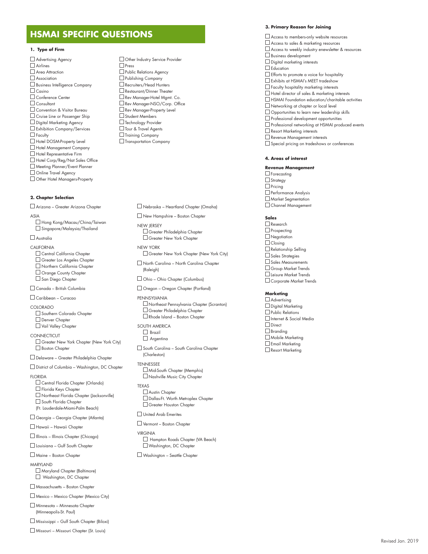# **HSMAI SPECIFIC QUESTIONS**

#### **1. Type of Firm**

 Advertising Agency  $\Box$  Airlines Area Attraction Association Business Intelligence Company  $\Box$  Casino Conference Center **Consultant**  Convention & Visitor Bureau Cruise Line or Passenger Ship Digital Marketing Agency Exhibition Company/Services  $\Box$  Faculty Hotel DOSM-Property Level Hotel Management Company Hotel Representative Firm Hotel Corp/Reg/Nat Sales Office Meeting Planner/Event Planner Online Travel Agency Other Hotel Managers-Property

#### **2. Chapter Selection**

 Arizona – Greater Arizona Chapter ASIA

 Hong Kong/Macau/China/Taiwan □ Singapore/Malaysia/Thailand

#### Australia

CALIFORNIA

- Central California Chapter Greater Los Angeles Chapter
- Northern California Chapter
- Orange County Chapter

San Diego Chapter

Canada – British Columbia

Caribbean – Curacao

- COLORADO Southern Colorado Chapter Denver Chapter Vail Valley Chapter
- **CONNECTICUT** Greater New York Chapter (New York City) Boston Chapter

Delaware – Greater Philadelphia Chapter

District of Columbia – Washington, DC Chapter

**FLORIDA** 

 Central Florida Chapter (Orlando)  $\Box$  Florida Keys Chapter Northeast Florida Chapter (Jacksonville) South Florida Chapter (Ft. Lauderdale-Miami-Palm Beach)

Georgia – Georgia Chapter (Atlanta)

Hawaii – Hawaii Chapter

Illinois – Illinois Chapter (Chicago)

Louisiana – Gulf South Chapter

Maine – Boston Chapter

MARYLAND Maryland Chapter (Baltimore) Washington, DC Chapter

Massachusetts – Boston Chapter

Mexico – Mexico Chapter (Mexico City)

 Minnesota – Minnesota Chapter (Minneapolis-St. Paul)

Mississippi – Gulf South Chapter (Biloxi)

Missouri – Missouri Chapter (St. Louis)

□ Other Industry Service Provider □ Press **D** Public Relations Agency Publishing Company Recruiters/Head Hunters Restaurant/Dinner Theater Rev Manager-Hotel Mgmt. Co. Rev Manager-NSO/Corp. Office Rev Manager-Property Level Student Members **Technology Provider**  Tour & Travel Agents  $\Box$  Training Company Transportation Company

Nebraska – Heartland Chapter (Omaha)

 New Hampshire – Boston Chapter NEW JERSEY Greater Philadelphia Chapter Greater New York Chapter

NEW YORK Greater New York Chapter (New York City)

 North Carolina – North Carolina Chapter (Raleigh)

Ohio – Ohio Chapter (Columbus)

Oregon – Oregon Chapter (Portland)

PENNSYLVANIA Northeast Pennsylvania Chapter (Scranton) Greater Philadelphia Chapter Rhode Island – Boston Chapter

SOUTH AMERICA  $\Box$  Brazil Argentina

 South Carolina – South Carolina Chapter (Charleston)

TENNESSEE Mid-South Chapter (Memphis) Nashville Music City Chapter

TEXAS Austin Chapter Dallas-Ft. Worth Metroplex Chapter Greater Houston Chapter

United Arab Emerites

Vermont – Boston Chapter

VIRGINIA Hampton Roads Chapter (VA Beach) Washington, DC Chapter

Washington – Seattle Chapter

#### **3. Primary Reason for Joining**

 Access to members-only website resources Access to sales & marketing resources Access to weekly industry enewsletter & resources Business development Digital marketing interests  $\Box$  Education Efforts to promote a voice for hospitality Exhibits at HSMAI's MEET tradeshow  $\Box$  Faculty hospitality marketing interests Hotel director of sales & marketing interests  $\Box$  HSMAI Foundation education/charitable activities Networking at chapter or local level **Opportunities to learn new leadership skills**  $\square$  Professional development opportunities Professional networking at HSMAI produced events Resort Marketing interests Revenue Management interests □ Special pricing on tradeshows or conferences

#### **4. Areas of interest**

**Revenue Management** □ Forecasting  $\Box$  Strategy  $\Box$  Pricing  $\square$  Performance Analysis Market Segmentation Channel Management

**Sales**

□ Research  $\Box$  Prospecting Negotiation  $\Box$  Closing Relationship Selling  $\Box$  Sales Strategies Sales Measurements Group Market Trends Leisure Market Trends Corporate Market Trends

**Marketing**

**Advertising**  $\Box$  Digital Marketing **Public Relations**  Internet & Social Media Direct □ Branding Mobile Marketing **Email Marketing** Resort Marketing